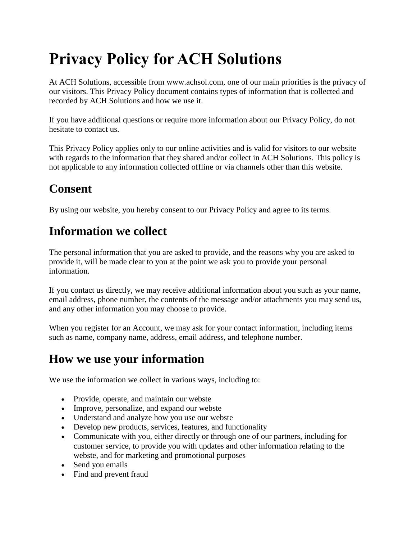# **Privacy Policy for ACH Solutions**

At ACH Solutions, accessible from www.achsol.com, one of our main priorities is the privacy of our visitors. This Privacy Policy document contains types of information that is collected and recorded by ACH Solutions and how we use it.

If you have additional questions or require more information about our Privacy Policy, do not hesitate to contact us.

This Privacy Policy applies only to our online activities and is valid for visitors to our website with regards to the information that they shared and/or collect in ACH Solutions. This policy is not applicable to any information collected offline or via channels other than this website.

# **Consent**

By using our website, you hereby consent to our Privacy Policy and agree to its terms.

# **Information we collect**

The personal information that you are asked to provide, and the reasons why you are asked to provide it, will be made clear to you at the point we ask you to provide your personal information.

If you contact us directly, we may receive additional information about you such as your name, email address, phone number, the contents of the message and/or attachments you may send us, and any other information you may choose to provide.

When you register for an Account, we may ask for your contact information, including items such as name, company name, address, email address, and telephone number.

# **How we use your information**

We use the information we collect in various ways, including to:

- Provide, operate, and maintain our webste
- Improve, personalize, and expand our webste
- Understand and analyze how you use our webste
- Develop new products, services, features, and functionality
- Communicate with you, either directly or through one of our partners, including for customer service, to provide you with updates and other information relating to the webste, and for marketing and promotional purposes
- Send you emails
- Find and prevent fraud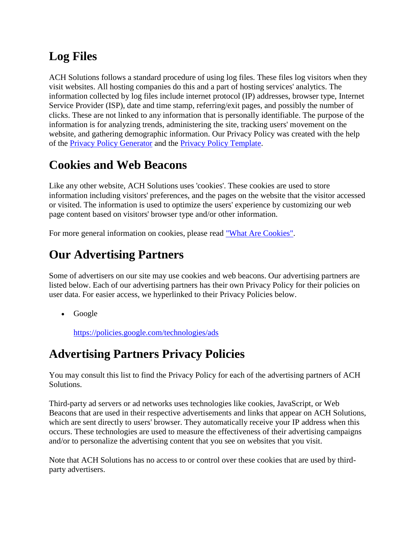# **Log Files**

ACH Solutions follows a standard procedure of using log files. These files log visitors when they visit websites. All hosting companies do this and a part of hosting services' analytics. The information collected by log files include internet protocol (IP) addresses, browser type, Internet Service Provider (ISP), date and time stamp, referring/exit pages, and possibly the number of clicks. These are not linked to any information that is personally identifiable. The purpose of the information is for analyzing trends, administering the site, tracking users' movement on the website, and gathering demographic information. Our Privacy Policy was created with the help of the [Privacy Policy Generator](https://www.privacypolicygenerator.info/) and the [Privacy Policy Template.](https://www.privacypolicytemplate.net/)

# **Cookies and Web Beacons**

Like any other website, ACH Solutions uses 'cookies'. These cookies are used to store information including visitors' preferences, and the pages on the website that the visitor accessed or visited. The information is used to optimize the users' experience by customizing our web page content based on visitors' browser type and/or other information.

For more general information on cookies, please read ["What Are Cookies".](https://www.cookieconsent.com/what-are-cookies/)

#### **Our Advertising Partners**

Some of advertisers on our site may use cookies and web beacons. Our advertising partners are listed below. Each of our advertising partners has their own Privacy Policy for their policies on user data. For easier access, we hyperlinked to their Privacy Policies below.

• Google

<https://policies.google.com/technologies/ads>

#### **Advertising Partners Privacy Policies**

You may consult this list to find the Privacy Policy for each of the advertising partners of ACH Solutions.

Third-party ad servers or ad networks uses technologies like cookies, JavaScript, or Web Beacons that are used in their respective advertisements and links that appear on ACH Solutions, which are sent directly to users' browser. They automatically receive your IP address when this occurs. These technologies are used to measure the effectiveness of their advertising campaigns and/or to personalize the advertising content that you see on websites that you visit.

Note that ACH Solutions has no access to or control over these cookies that are used by thirdparty advertisers.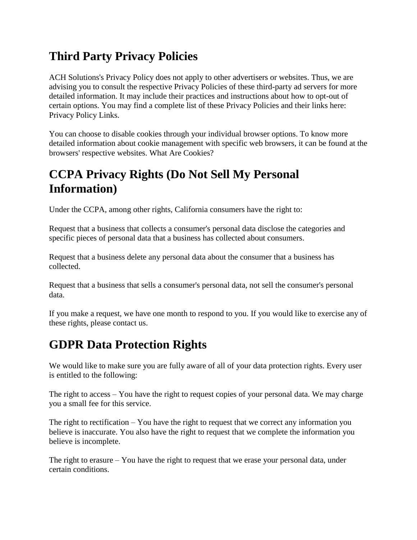# **Third Party Privacy Policies**

ACH Solutions's Privacy Policy does not apply to other advertisers or websites. Thus, we are advising you to consult the respective Privacy Policies of these third-party ad servers for more detailed information. It may include their practices and instructions about how to opt-out of certain options. You may find a complete list of these Privacy Policies and their links here: Privacy Policy Links.

You can choose to disable cookies through your individual browser options. To know more detailed information about cookie management with specific web browsers, it can be found at the browsers' respective websites. What Are Cookies?

# **CCPA Privacy Rights (Do Not Sell My Personal Information)**

Under the CCPA, among other rights, California consumers have the right to:

Request that a business that collects a consumer's personal data disclose the categories and specific pieces of personal data that a business has collected about consumers.

Request that a business delete any personal data about the consumer that a business has collected.

Request that a business that sells a consumer's personal data, not sell the consumer's personal data.

If you make a request, we have one month to respond to you. If you would like to exercise any of these rights, please contact us.

# **GDPR Data Protection Rights**

We would like to make sure you are fully aware of all of your data protection rights. Every user is entitled to the following:

The right to access – You have the right to request copies of your personal data. We may charge you a small fee for this service.

The right to rectification – You have the right to request that we correct any information you believe is inaccurate. You also have the right to request that we complete the information you believe is incomplete.

The right to erasure  $-$  You have the right to request that we erase your personal data, under certain conditions.